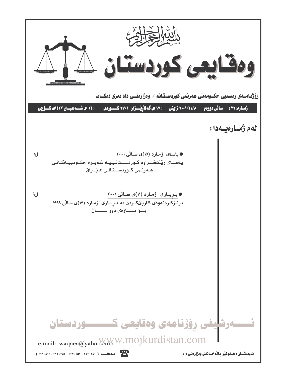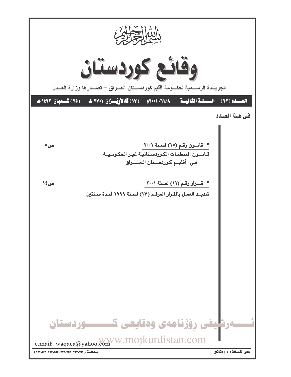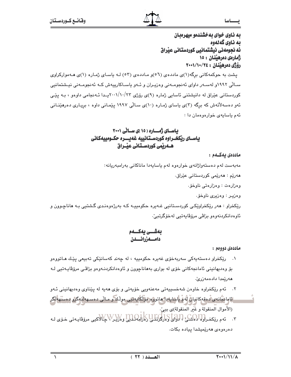# فسطاسا

# به ناوی خوای به خشندهو میهرهبان ىە ناوي گەنەوە ئه نجومەنى نيشتمانيى كوردستانى عيراق ژمارهي دمرهينتان : ١٥

رۆژى دەرھينان : ٢٤/١٠/١٠٠١/١٠٠

یشت به حوکمهکانی برگه(۱)ی ماددهی (٥٦)و ماددهی (٥٢) لـه پاسای ژماره (۱)ی هـهموارکراوی سـالّی ۱۹۹۲و لهسـهر داوای ئهنجومـهنی وهزیـران و ئـهو باسـاکاریپهش کـه ئهنجومـهنی نیـشتمانیی کوردستانی عێراق له دانیشتنی ئاسایی ژماره (۹)ی رۆژی ۲۰۰۱/۱۰/۲۲پـدا ئـهنجامی داوهو ، بـه یێـی ئهو دهسهلأتهش که برگه (۳)ی یاسای ژماره (۱۰)ی سـالّی ۱۹۹۷ پێمـانی داوه ، برِیـاری دهرهێنـانی ئهم باسايهى خوارهوهمان دا :

# یاسای ژمساره ( ۱۵ )ی سالی ۲۰۰۱ ياســای ريِّكخــراوه كوردســتـانييه غهيــــره حكــومييهكـانى هــهريمى كوردســتـانى عيــراق

#### ماددەي بەكــەم :

مەبەست لەم دەستەواژانەي خوارەوە لەم ياسايەدا ماناكانى بەرامبەريانە:

هەريّم : هەريّمى كوردستانى عيّراق.

وهزارهت : وهزارهتي ناوخق.

وهزيـر : وهزيري ناوخۆ.

ريکخراو : هەر ريکخراويکي کوردسـتانيي غـهيره حکومييـه کـه بەرژەوەنـدى گـشتيي بـه هاناچـوون و ئاوەدانكردنەوەو بزاڤي مرۆۋاپەتيى لەخۆگرتبىٚ.

بەشـــى يەكـــەم أدامسه زرافسدن

ماددەي دووەم :

- ۰۱ رێِکخراو دەستەپەکى سەربەخۆی غەيرە حکومىيە ، لە چەند کەسانێکى تەبىعى يێك مـاتورەر بۆ وەدىھانىنى ئامانجەكانى خۆى لە بوارى بەھاناچوون و ئاوەدانكردنـەوەو بزاڤـى مرۆڤاپـەتيى لـە ھەرێمدا دادەمەزرىؒ.
- ٢. ئهم ريکخراوه خاوهن شهخسيپهتي مهعنهويي خۆپهتي و بۆي ههيه له پێناوي وهديهانيني ئـهو ائاما بْجَانەي دەقەكانيانْ لەم ياسايەدا ماتوۋە مۆلگايەتتى مولىك و مىللى دەسىھەلىيەگرو دەستھەلگر (الأموال المنقولة و غُير المنقولة)ي بييٌ.
- دەرەوەي ھەرێمىشدا ييادە بكات.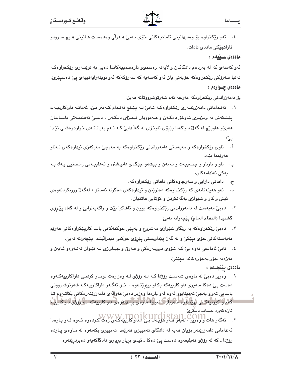٤. ئەم رێِکخراوه بۆ وەدىھانىنى ئامانجەکانى خۆى نـەبىؒ ھـەوڵى وەدەست ھـانينى ھـيچ سـوودو قازائجێِکی ماددی نادات.

ماددەى سىنىمم :

ئەو كەسەي كە لە بەردەم دادگاكان و لايەنە رەسمىھو نارەسمىيەكاندا دەبىؒ بە نوێنەرى رێكخراوەكـە تەنيا سەرۆكى رێكخراوەكە خۆيەتى يان ئەو كەسەپە كە سەرۆكەكە ئەو نوێنەرايەتييەى پىٚ دەسپێرىؒ· ماددهۍ چــوارهم :

بۆ دامەزراندنى رێكخراوەكە مەرجە ئەم شەرتوشرووتانە ھەبن:

- ١. ئەنـدامانى دامەزرێنــەرى رێكخراوەكـە نـابى ْلـە يێـنج ئەنـدام كـەمتر بـن. ئەمانـە داواكارييـەك يێشکەش بە وەزيـرى نـاوخۆ دەكـەن و ھـەموويان ئيمـزاي دەكـەن . دەبـيّ ئەھلييـەتى ياسـاييان ههبيٌو هاويٽِچ له گهلٌ داواکهدا پێرۆي ناوخۆي له گهڵدابيٌ کـه ئـهم بهياناتـهي خوارەوەشـي تێدا بیٚ:
- ناوی ریکخراوهکه و مهبهستی دامهزراندنی ریکخراوهکه به مهرجی مهرکهزی ئیدارهکهی لـهناو أ. هەرێمدا بێت.
- ب. ناو و نازناو و جنسييهت و تهمهن و پيشهو جێگـاي دانيـشتن و ئههلييـهتي زانـستيي يـهك بـه يەكى ئەندامەكان.
	- ج. داهاتی دارایی و سەرچاوەكانی داهاتی رێکخراوەكە .
- د. ئەو ھەيئەتانەي كە رێكخراوەكە دەنوێنن و ئىدارەكەي دەگرنە ئەستۆ ، لەگەلْ روونكردنەوەي ئيش و کار و شێوازی بهگهنکردن و کۆتايى ماتنيان.
- ۲. دەبئ مەبەست لە دامەزراندنى رێِكخراوەكە روون و ئاشكرا بێت و راگەپەنرابیٚ و لە گەلْ يێـرۆی گشتيدا (النظام العـام) يێڃەوانە نەبىٚ.
- ۰۳ دەبیٚ رێکخراوەکە بە رێگاو شێوازی مەشروع و بەپێی حوکمەکانی یاسا کارپێکراوەکانی ھەرێم مەبەستەكانى خۆي بيێكى و لە گەل پێداويستى يێرۆي حوكمى فيدراليشدا يێڃەوانە نەبىٚ.
- ٤. نابيّ ئامانجي ئەوە بيّ كـه تـۆوي دووبـەرەكى و فـەرق و جيـاوازى لـه نێـوان نەتـەوەو ئـايين و مەزەبە جۆر بەجۆرەكاندا بچێنىٚ٠

ماددەى يېنجـەم :

- ۰۱ وەزیر دەبیْ له ماوەی شەست رۆژدا کـه لـه رۆژی لـه وەزارەت تۆمـار کردنـی داواکاریپهکـەوە دهست ییٚ دهکا سەیری داواکاریپەکە بکـاو بیبرێتـەوه . خـۆ ئەگـەر داواکاریپەکـە شەرتوشـرووتی
- پاسايي تەرار بەجىؒ نەھێناپور ئەرە لەر بارەدا رەزير دەبیؒ ھەرالەی دامەزرێنەرەكانی بكاتـەرە تـا گەم و كورتپەكاش بهینندۈە سەربارى ئەوجا ماۋەي براندنەۋەي داواكارىيەكە لىڭ ئۆزى داۋاكارىيە تازەكەرە حساب دەكرىؒ.
- ئەندامانى دامەزرێنەر بۆيان ھەپە لە دادگاى تەمپيزى ھەرێمدا تەمپيزى بكەنەوە لە مـاوەي پــازدە رۆژدا ـ که له رۆژى تەبليغەوه دەست يېّ دەکا ـ ئيدى بريار بريارى دادگاکەيەو دەبردرێتەوە.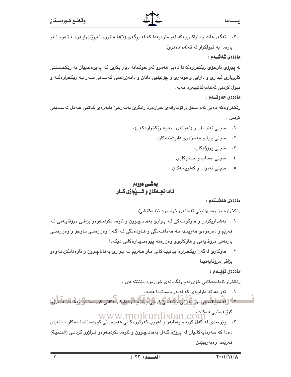۳. ئەگەر ھات و داواكارىيەكە لەو ماوەيەدا كە لە برگەي (۱)دا ھاتووە نەبرێندرايـەوە ، ئـەوە لـەو بارهدا به قبولکراو له قهلهم دهدريّ.

#### ماددەى شەشــەم :

له پێرۆی ناوخۆی رێکخراوهکهدا دهبیؒ ههموو ئەو حوکمانه دیار بکرێن که پەيوەندىيان بە رێکخستنی کاروباری ئیداری و دارایی و هونهری و چۆنێتیی دانان و دامهزراندنی کهسـانی سـهر بـه رێکخراوهکـه و قبولٌ كردنى ئەندامەكانييەوە ھەيە.

#### ماددەي جەوتىمم :

رێکخراوهکه دهبیؒ نُهم سجل و تۆمارانەی خوارەوە رابگریؒ بەمەرجیؒ داپەرەی کـاتبی عـﻪدل تەسـدېقی کردېن :

- سجلي ئەندامان و (ئەوانەي سەربە رێكخراوەكەن).  $\cdot$ 
	- سجلی بریارو مەحزەری دانیشتنەکان.  $\cdot$   $\mathsf{r}$ 
		- ۰۳ سجلی پرۆژەكان.
		- ٤. سجلي حساب و حسابکاري.
		- ٥. سجلي ئهموال وكهلويهلهكان.

# يەشى دووەم ناما نجسهکان و شــیدّوازی کـار

## ماددەى ھەشــتەم :

رێِکخراوه بوّ وهديهانيني ئهمانهي خوارهوه تێدهکوشيٚ:

- ۰۱ ٪ به شداریکردن و هاوکۆمـهکی لـه بـواری بههاناچـوون و ئاوهدانکردنـهوهو بزاڤـی مرۆڤاپـهتی لـه ههريم و دهرهوهي ههريمدا بـه ههماهـهنگي و هـاودهنگي لـه گـهان وهزارهتـي نـاوخوّ و وهزارهتـي يارمەتى مرۆۋاپەتى و ھاوكارى و وەزارەتە يێوەنديدارەكانى دېكەدا.
- ٢. هاوکاري لهگهل ريکخراوه بيانيپهکاني ناو هـهريم لـه بـواري بههاناچـوون و ئاوهدانکردنـهوهو بزاڤي مرۆڤاپەتپدا.

## ماددەى ئۆيىلەم :

رێِکخراو ئامانجهکانی خۆی لهم رێِگایانهی خوارهوه دێنێته دی :

۰۱ - ئەو دھاتە داراييەى كە لەبەر دەستيدا ھەيە.

۔<br>۔ اگر لیا مونا قصوں موزانی (آتی اجیب جے کربنی پاروڑو ، ناو مدانکاریہ کانی کوردستانی) لیا شادار دمیگرا

گرێبەستیى دەكات www.mojkurdistan.co

۴. - پێوهندي له گەل كورده پەنابەر و غەربب كەوتوۋەكانى ھەندەرانى كوردستاندا دەكاو ، دنەيان دهدا که سهرمایهکانیان له پرۆژه گـهلي بههاناچـوون و ئاوهدانکردنـهوهو فـراژوو کردنـي (التنميـة) هەريمدا وەبەربھينن.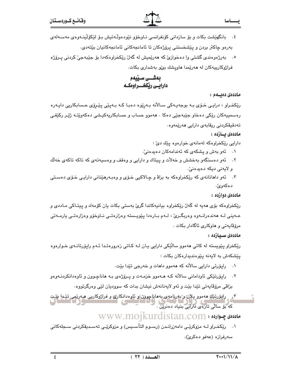٥. بەرژەوەندى گشتى وا دەخوازىّ كە ھەرێميش لە گەلّ رێكخراوەكەدا بۆ جێبەجىّ كردنى يـرۆژە فراژوكارییهكان له هەرپمدا هاوپشك بى بەشدارى بكات.

بەشــى سـێيەم دارایس ریکخسراوهکه

#### ماددەى دەبىلەم :

يـــــاسا

رێِکخـراو ، درایـی خـۆی بـه بوجهیـهکی سـالأنه بـهرِێوه دهبـا کـه بـهیێی پێـرِۆی حـسابکاریی دایـهره رەسمىيەكان رێكى دەخاو جێبەجێى دەكا ٠ ھەموو حساب و حسابكاريەكيـشى دەكەوێتـﻪ ژێـِر ركێڧـى تەدقىقكردنى رىقابەي دارايى ھەرێمەوە.

#### ماددەى ئىسازدە :

دارايي رێِکخراوهکه لهمانهی خوارهوه يێك دێ :

- ۰۱ گەو بەش و يشكەي كە ئەندامەكان دەيدەنى،
- ۲. ئەو دەسنگەو بەخشش و خەلات و پيتاك و دارايى و وەقف و وەسپەتەي كە تاكە تاكەي خەلك و لايەنى دېكە دەيدەنى،
- ۰۳ ـ ئەو داھاتانەي كە رێكخراوەكە بە بزاۋ و چـالاكيى خـۆي و وەبـەرھێنانى دارايـى خـۆي دەسـتى دهكەوئ.

#### ماددەي دوازدە :

رێِکخراوهکه بۆی مەيە لە گەلٌ رێِکخراوه بيانيەکاندا گرێ بەستى بکات يان کۆمەك و پيتـاکى مـاددى و عــهینی لــه ههندهرانــهوه وهربگــریّ ، لــهم بــارهدا پێویــسته وهزارهتــی نــاوخۆو وهزارهتــی یارمــهتی مرۆۋاپەتى و ھاوكارى ئاگادار بكات .

#### ماددەى سىيازدە :

رێِکخراو پێویسته له کاتی ههموو ساڵێکی دارایی پـان لـه کـاتی زهرورهتـدا ئـهم رایو٘رتانـهی خـوارهوه يێشكەش بە لايەنە يێوەندىدارەكان بكات :

- ۰۱ \_ رایوّرتی دارایی سالآنه که ههموو داهات و خهرجی تێدا بێت.
- ۲. رايۆرتێکي ئاوداماني سالانه کـه هــهموو خزمــهت و پــرۆژەي بـه هاناچـوون و ئاوەدانکردنــهوەو بزاڤي مرۆڤايەتى تێدا بێت و ئەو لايەنانەش نيشان بدات كە سووديان لێي وەرگرتووە.
- ٣<sub>د ،</sub> راتورتێاڠ مەمور پلان و بەرنامەي بەماناچورن و ئارەدانكارى و فرازوكاريى مەرىمى تێدا پێت .<br>که بۆ سالى تازەي دارايى بنياد دەنرين .

# $\frac{1}{2}$  مادددی چـوارده : www.mojkurdistan.com

۰۱ \_ رێِکخـراو لــه مزوکرێـی دامهزرانـدن (رسـوم التأسـیس) و مزوکرێـی تهسـدیقکردنی سـجلهکانی سەرفرازە (عەفو دەكرىّ).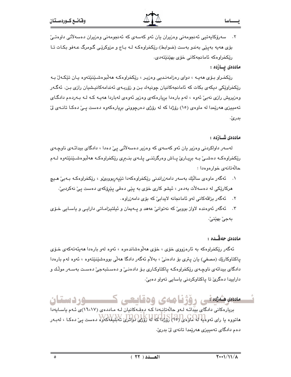۲. سەرۆكايەتيى ئەنجومەنى وەزيران يان ئەو كەسەي كە ئەنجومەنى وەزيران دەسەلاتى داوەتىێ بۆی مەيە بەيێى بەندو بەست (ضوابط) رێکخراوەکـﻪ ﻟـﻪ ﺑـﺎج و مزوکرێـی گـومرگ عـﻪفو بكـﺎت تـﺎ ریکخراوهکه ئامانجهکانی خۆی بهینیتهدی.

#### ماددەى يــازدە :

رێِکخـراو بـۆی هەپـه ، دوای رەزامەنـدیی وەزیـر ، رێِکخراوەکـه هەڵبوەشـێنێتەوە يـان تێکـەلٚ بـه رێکخراوێکی دیکهی بکات که ئامانجەکانیان چونیەك بـن و زۆریـەی ئەندامەکانیـشیان رازی بـن. ئەگـەر وهزیریش رازی نهبیؒ ئەوه ، لهم بارەدا بریارەکەی وەزیر ئەوەی لەباردا ھەپـە کـه لـه بـەردەم دادگـای تهمییزی ههرێمدا له ماوهی (١٥) رۆژدا که له رۆژی دهرچوونی بریارهکهوه دهست پـیّ دهکـا تانـهی لیّ بدرێٚ.

#### ماددەى شــازدە :

لەسەر داواكردنى وەزير يان ئەو كەسەي كە وەزير دەسەلأتى پىّ دەدا ، دادگاي بېدائـەي ناوچـەي رێِکخراوهکـه دهشـی بـه برِیـاری پـاش وهرگرتنــی پلــهی بنــبرِی رێکخراوهکـه ههڵبوهشـێنێتهوه لــهم حالّهتانهي خوارهوهدا :

- ۰۱ ئەگەر ماوەي سالْيْك بەسەر دامەزراندنى رێكخراوەكەدا تێپەربوربى،و ، رێكخراوەكـە بـەبى، ھـيچ هرکارێکی له دهسهلات بهدهر ، ئیشو کاری خوّی به پێی دهقی پێرۆکهی دهست ییّ نهکردبیّ:
	- ٢. ئەگەر بزاقەكانى لەو ئامانجانە لايدابى كە بۆى دامەزراوە.
- ۰۳ نهگهر ئهوهنده لاواز بووییٌ که نهتوانیٌ عههد و پـهیمان و ئیلتیزامـاتی دارایـی و یاسـایی خـوّی بەجىٰ بهێنىٰ.

## ماددەى جەڭسدە :

ئەگەر رێکخراوەکە بە ئارەزووى خۆى ، خۆى ھەلوەشاندەوە ، ئەوە لەو بارەدا ھەيئەتەکەي خـۆي پاکتاوکارێك (مصفى) يان پترې بۆ دادەنىؒ ، بەلاّم ئەگەر دادگا ھەلّى بووەشێنێتەوە ، ئەوە لەم بارەدا دادگای بیدائهی ناوچـهی رێِکخراوهکـه یاکتاوکـاری بـۆ دادەنـیٚ و دەسـتبەجیٚ دەسـت بەسـەر موڵـك و داراييدا دەگرىّ تا ياكتاوكردنى ياسايى تەوار دەبىّ:

# مىدە مشەھقى رۆژنامەي ۋەقايىچى كىسىسىۋردىستان

بریارهکانی دادگای بیدائه لـهو حالّهتانیهدا کـه دوقـهکانیان لـه مـاددهی (١٦،١٧)ی ئـهم یاسـایهدا هاتووه یا رای ئەوەپە لە ماوەی (٢٥) زۇردا كە لە زۇرى لوانزى تەبلىغەكەرە دەست يې دەكـا ، لەبـەر دەم دادگای تەمپیزی ھەرێمدا تانەی لىٚ بدریٚ.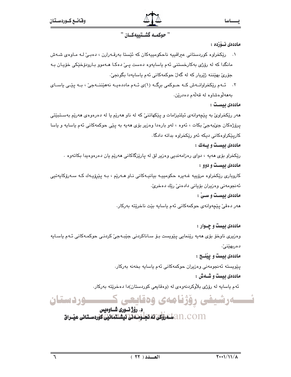# " حوكمـه كَشَـتييهكـان "

#### ماددەى ئــۆزدە :

- ۰۱ ريکخراوه کوردستانی عيراقييه ناحکومييهکان که ئيستا بهرقـهرارن ، دهبـی ّلـه مـاوهى شـهش مانگدا که له رۆژی بهکارخستنی ئهم پاساپهوه دهست پـیّ دهکـا هــهموو بـارودوّخێکی خوّپـان بـه جۆرى بهێننە ژێربار كە لە گەل حوكمەكانى ئەم ياسايەدا بگونجىؒ٠
- ۲. ئــهم ريکخراوانــهش کــه حــوکمی برگــه (۱)ی ئــهم ماددهيــه نههيٚننــهجيّ ، بــه پيّــی ياســای بەھەلوەشاوە لە قەلەم دەدرێن.

#### ماددەى ئىست :

هەر رێِکخراویٚ به پێچەوانەی ئیلتیزامات و پێکهاتنیٚ که له ناو هەرێم یا له دەرەوەی هەرێم بەسـتبێتی پرۆژەكان جېّبەجىّ بكات ، ئەوە ، لەو بارەدا وەزير بۆى ھەيە بە پێى حوكمەكانى ئەم ياسايە و ياسا کاریێکراوهکانی دیکه ئهو رێکخراوه بداته دادگا٠

#### ماددهی بیست و بسهك :

رێِکخراو بۆی هەيە ، دوای رەزامەندیی وەزیر لق لە پارێزگاکانی هەرێم یان دەرەوەيدا بکاتەوە ٠ ماددهی بیست و دوو :

کاروباری رێِکخراوه مرۆپیه غـهیره حکومییـه بیانیـهکانی نـاو هـهرێم ، بـه یێرۆپـهك کـه سـهرۆکاپهتیی ئەنجومەنى وەزيران بۆيانى دادەنى ريك دەخرى،

#### ماددهی بیست و سـیٰ :

هەر دەقىٰ يێچەوانەي حوكمەكانى ئەم ياسايە بێت ناخرێتە بەركار.

# ماددهی بیست و چــوار :

وەزیری ناوخۆ بۆی مەيە رێنمايی يێویست بـۆ سـاناكردنی جێبـﻪجیٚ کردنـی حوکمـﻪکانی ئـﻪم یاسـایه دەربھێنى ؒ.

## ماددهی بیست و یینسج :

يێويسته ئەنجومەنى وەزيران حوكمەكانى ئەم ياسايە بخەنە بەركار.

## ماددهی بیست و شسهش :

ئهم ياسايه له رۆژى بلاوكردنهوەي له (وەقايعى كوردستان)دا دەخرێتە بەركار.

ئـــــەرشىفى رۆژنامەي وەقايعى ك ـــــوردستان د. رؤژ نسوری شساوهیس

an. com التَّسْتَغَرَّوْتُكَيِّ تَمْ تَحَلُّوْتَ فَلَسَّمْتَتَمَاتَيْنَ كَوْرِدِسْتَانِي عَنْدِاقَ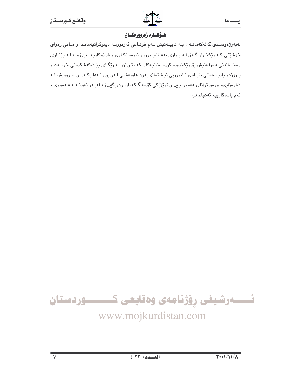# هيؤكياره زهروورهكيان

لهبهرژهوهندی گهلهکهمانـه ، بـه تایبـهتیش لـهم قۆنـاغی ئهزموونـه دیموکراتیهمانـدا و مـافی رهوای خۆشێتی که رێکخـراو گـهلی لـه بـواری بههاناچـوون و ئاوهدانکـاری و فراژوکاریـدا ببیٌـو ، لـه پێنـاوی رەخساندنى دەرفەتيش بۆ رێِكخراوە كوردستانيەكان كە بتـوانن لـه رێِگـاى پێشكەشكردنى خزمـەت و پرۆژەو ياريدەدانى بنيادى ئـابووريى نيـشتمانىيەوە ھاوبەشى لـەو بوارانـەدا بكـەن و سـووديش لـه شارهزاییهو وزهو توانای ههموو چین و تویْژْیْکی کوّمهالگاکهمان وهربگیری ، لهبـهر ئهوانـه ، هـهمووی ، ئەم ياساكارىيە ئەنجام درا.

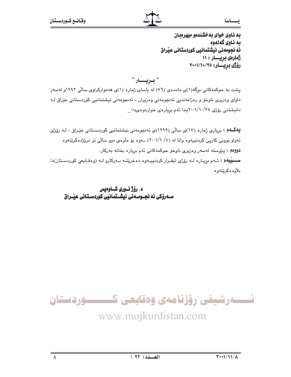حصاسا

به ناوی خوای به خشندهو میهرهبان ىە ناوي گەنەوە ئه نجومهنی نیشتمانیی کوردستانی عیراق ژمارهي بريسار : ۱۱ رۆژى بريسار: ٢٠٠١/١٠/٢٥

" بىريـــــار " یشت به حوکمهکانی برگه(۱)ی ماددهی (۵٦) له یاسای ژماره (۱)ی ههموارکراوی سالّی ۱۹۹۲و لهسهر داوای وهزیری ناوخۆ و رەزامەندیی ئەنجومەنی وەزیران ، ئەنجومەنی نیشتمانیی کوردستانی عێراق لـﻪ دانیشتنی رۆژی ۲۰۰۱/۱۰/۲۰پـدا ئەم بریارەی خوارەوەىدا:

**یهگــهم :** برِیاری ژماره (۱۷)ی سالّی (۱۹۹۹)ی ئه نجومهنی نیشتمانیی کوردسـتانی عیّـراق ، لـه روّر*ژی* تهواو بوونی کاریئ کردنیپهوه واتا له (١٠٠١/١٠/٤) ــهوه بۆ ماوهى دوو سالى تر درێژدهکرێتهوه. .<br>**دووم :** پێوسته لهسهر وهزیری ناوخو حوکمهکانی ئهم بریاره بخاته بهرکار سسيُبِيهُم : ئـهم بريـاره لـه رۆژى ئيقـرار كردنييـهوه دهخريتـه بـهركارو لـه (وهقـايعى كوردسـتان)دا بلأوده كريتهوه.

د. رؤژ نوری شــاوهبس سەرۆکى ئە نجـومـەنى نيشـتمانيى كوردسـتانى عيْـراق

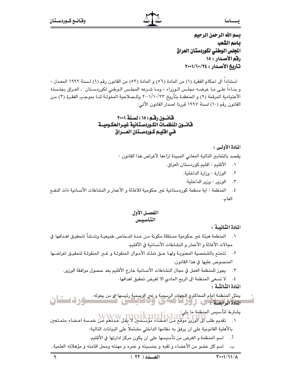بسم الله الرحمن الرحيم باسم الشعب المجلس الوطنى لكوردستان العراق رقم الأصدار : ١٥ تأريخ الأصدار : ٢٤/١٠/١٠٠١

استناداً الى احكام الفقرة (١) من المادة (٥٦) و المادة (٥٣) من القانون رقم (١) لسنة ١٩٩٢ المعدل ، و بنـاءا علـى مـا عرضـه مجلـس الـوزراء ، ومـا شـرعه المجلـس الـوطني لكوردسـتان ـ العـراق بجلـسته الأعتيادية المرقمة (٩) و المنعقدة بتأريخ ٢٠٠\/١٠/٢٢ وللـصلاحية المخولـة لنـا بموجب الفقـرة (٣) مـن القانون رقم (١٠) لسنة ١٩٩٧ قررنا اصدار القانون الأتي:

## قانسون رقبم (١٥) لسنة ٢٠٠١ فانسون المنظمـات الكـوردسـتـانية غيـرالحكـوميــة في افليم كـوردسـتان العـــراق

## المادة الأولى :

يقصد بالتعابير التالية المعاني المبينة ازاءها لأغراض هذا القانون :

- الأقليم : اقليم كوردستان العراق.  $\cdot$ 
	- ٢. الوزارة: وزارة الداخلية.
	- ٢. الوزير : وزير الداخلية.
- ٤. المنظمة : اية منظمة كوردستانية غير حكومية للاغاثة و الأعمار و النشاطات الأنسانية ذات النفـع العام.

## الفصيل الأول التأسيس

المادة الثّانيـة :

- ١. المنظمة هيئة غىر حكومية مستقلة مكونة مـن عـدة اشـخاص طبيعيـة وتنـشأ لتحقيـق اهـدافها في محالات الأغاثة و الأعمار و النشاطات الأنسانية في الأقليم.
- ٢. تتمتع بالشخصية المعنويـة ولهـا حـق تملـك الأمـوال المنقولـة و غــر المنقولـة لتحقيـق اغراضـها المنصوص عليها في هذا القانون.
	- ٢. يجوز للمنظمة العمل في مجال النشاطات الأنسانية خارج الأقليم بعد حصول موافقة الوزير.

٤. لا تسعى المنظمة الى الربح المادي الا لغرض تحقيق اهدافها.

المادة الثَّبالثَّية :

- يعثل المنظمة امام المحاكم و الجهات الرسمية و غير الرسمية رئيسها لو من يخوله .<br>المادة الرابعية : حي الرائح المحاكمي الواقع المستحق المستقبل المستقبل المستقبل في
- يشترط لتأسيس المنظمة ما يلي:<br>١. تقديم طلب الCOIN ، WWW ، TOO IKUITOISTAIT .<br>١. تقديم طلب الى الوزير موقع من اعضاء مؤسسايي لا يقل عددهم عن خمسة اعضاء متمـتعين

بالأهلية القانونية على ان يرفق به نظامها الداخلي مشتملا على البيانات التالية:

- أ. اسم المنظمة و الغرض من تأسيسها على ان يكون مركز ادارتها فى الأقليم.
- ب. اسم كل عضو من الأعضاء و لقبه و جنسيته و عمره و مهنته ومحل اقامته و مؤهلاته العلمية.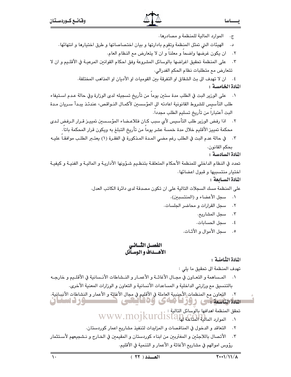يـــــاسا

الموارد المالية للمنظمة و مصادرها.  $\cdot \tau$ 

د. الهيئات التي تمثل المنظمة وتقوم بادارتها و بيان اختصاصاتها و طرق اختيارها و انتهائها.

- ٢. ان يكون غرضها واضحا و معلنا و ان لا يتعارض مع النظام العام.
- على المنظمة تحقيق اغراضها بالوسائل المشروعة وفق احكام القوانين المرعيـة في الأقلـيم و ان لا  $\cdot$   $\mathsf{r}$ تتعارض مع متطلبات نظام الحكم الفدرالي.
	- ٤. ان لا تهدف الى بث الشقاق او التفرقة بين القوميات او الأديان او المذاهب المختلفة.

# المادة الخامسة :

- على الورير البت في الطلب مدة ستين يوماً من تأريخ تسجيله لدى الورارة وفي حالة عـدم اسـتيفاء  $\cdot$ . طلب التأسيس للشروط القانونية اعادته الى المؤسسين لأكمـال النـواقص، عندئـذ يبـدأ سـريان مـدة البت أعتبارا من تأريخ تسليم الطلب مجددا.
- ٢. اذا رفض الورير طلب التأسيس لأي سبب كـان فللاعـضاء المؤسسين تمييـز قـرار الـرفض لـدي محكمة تمييز الأقليم خلال مدة خمسة عشر يوماً من تأريخ التبلغ به ويكون قرار المحكمة باتاً.
- ٣. في حالة عدم البت في الطلب رغم مضى المدة المذكورة في الفقـرة (١) يعتـبر الطلـب موافقـا عليـه بحكم القانون.

المادة السادسة:

تحدد في النظام الداخلي للمنظمة الأحكام المتعلقـة بتنظـيم شـؤونها الأداريـة و الماليـة و الفنيـة و كيفيـة اختيار منتسبيها و قبول اعضائها.

#### المادة السيابعة :

على المنظمة مسك السجلات التالية على ان تكون مصدقة لدى دائرة الكاتب العدل.

- ٠١ سجل الأعضاء و (المنتسبين).
- ٢. سجل القرارات و محاضر الجلسات.
	- ٢. مسجل المشاريع.
	- ٤. منجل الحسابات.
	- ٥. مسجل الأموال و الأثبات.

# الفصسل الثسانس الأهسداف والوسيآئل

المادة الثّامنية :

تهدف المنظمة الى تحقيق ما يلي :

- ١. المـساهمة و التعـاون في مجـال الأغاثــة و الأعمـار و النــشاطات الأنـسانية في الأقلــيم و خارجـه بالتنسيق مع وزارتي الداخلية و المساعدات الأنسانية و التعاون و الوزارات المعنية الأخرى.
- ٢. التعاون مع المنظمات الأجنبية العاملة في الأقليم في مجال الأغاثة و الأعمار و النشاطات الأنسانية. سرورست یی روز کا مائی وہ کا کہی S Santa Se
	- تحقق المنظمة اهدافها بالوسائل التالية : V WWW.MOJKUrdistan Cali
	- ٢. التعاقد و الدخول في المناقصات و المزايدات لتنفيذ مشاريع اعمار كوردستان.
- ٢. الأتصال باللاجئين و المغتربين من ابناء كوردستان و المقيمين في الخـارج و نـشجيعهم لأسـتثمار رؤوس اموالهم في مشاريع الأغاثة و الأعمار و التنمية في الأقليم.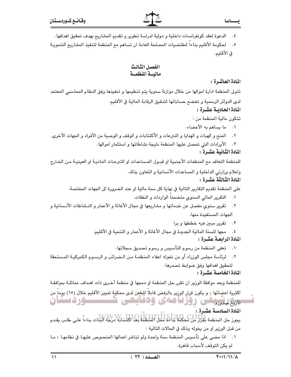- ٤. الدعوة لعقد كونفرانسات داخلية و دولية لدراسة تطوير و تقديم المشاريع بهدف تحقيق اهدافها .
- ٥. لحكومة الأقليم بناءاً لمقتضيات المصلحة العامة ان تساهم مع المنظمة لتنفيذ المشاريع التنمويـة في الأقليم.

# الفصل الثالث مالبسة المنظمسة

# المادة العاشرة:

تتولى المنظمة ادارة اموالها من خلال موازنة سنوية يتم تنظيمها و تنفيذها وفق النظام المحاسبي المعتمد لدى الدوائر الرسمية و تخضع حساباتها لتدقيق الرقابة المالية في الأقليم. المادة الحاديبة عشرة :

تتكون مالية المنظمة من :

- ٠١ ما يساهم به الأعضاء.
- ٢. المنح و الهبات و الهدايا و التبرعات و الأكتتابات و الوقف و الوصية من الأفراد و الجهات الأخرى.
	- الأيرادات التي تحصل عليها المنظمة نتيجة نشاطاتها و استثمار اموالها.  $\cdot$   $\mathsf{r}$

# المادة الثّانية عشـرة :

للمنظمة التعاقد مم المنظمات الأجنبية او قبـول المـساعدات او التبرعـات الماديـة او العينيـة مـن الخـارج

واعلام وزارتى الداخلية و المساعدات الأنسانية و التعاون بذلك. المادة الثالثة عشرة :

على المنظمة تقديم التقارير التالية في نهاية كل سنة مالية او عند الضرورة الى الجهات المختصة.

- ٠١ التقرير المالي السنوي متضمنا الواردات و النفقات.
- ٢. تقرير سنوى مفصل عن خدماتها و مشاريعها في مجال الأغاثة و الأعمار و النـشاطات الأنـسانية و الجهات المستفيدة منها.
	- ٠٣ تقرير مبين فيه خططها وبرا
	- ٤. مجها للسنة المالية الجديدة في مجال الأغاثة و الأعمار و التنمية في الأقليم.

المادة الرابعة عشرة :

- ٠١ تعفى المنظمة من رسوم التأسيس و رسوم تصديق سجلاتها٠
- ٢. لرئاسة مجلس الوزراء أو من تخوله اعفاء المنظمـة مـن الـضرائب و الرسـوم الكمركيـة المـستحقة لتحقيق اهدافها وفق ضوابط تصدرها.

المادة الخامسة عشرة :

للمنظمة وبعد موافقة الورير ان تقرر حل المنظمة او دمجها في منظمة أخـرى ذات اهـداف مماثلـة بموافقـة

اكثرية اعضائها ، و يكون قرار الورير بالرفض قابلاً للطعن لدى محكمة تمييز الأقليم خلال (١٥) يوماً من <del>ارا دان دارد. م</del>ی روز با مه ی وه قایعی ک<del>ه مسئو</del>ر دستان

المادة السادسة عشرة : .<br>يجوز حل المنظمة بقرار من مشكمة بداءة محل المنظمة بعد اكتشابه لايلا الله الله الله بناءاً على طلب يقدم من قبل الورير او من يخوله وذلك في الحالات التالية :

٠١. اذا مضىي على تأسيس المنظمة سنة واحدة ولم تباشر اعمالها المنصوص عليهـا في نظامهـا ، مـا لم يكن التوقف لأسباب قاهرة.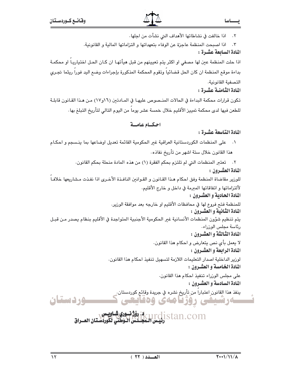اذا خالفت في نشاطاتها الأهداف التي نشأت من اجلها.

٢. اذا اصبحت المنظمة عاجزة عن الوفاء بتعهداتها و التزاماتها المالية و القانونية.

# المادة السابعة عشرة :

اذا حلت المنظمة عين لها مصفي او اكثر يتم تعيينهم من قبل هيأتهـا ان كـان الحـل اختياريـاً او محكمـة بداءة موقع المنظمة ان كان الحل قضائياً وتقوم المحكمة المذكورة بإجراءات وضع اليد فوراً ريثما تجرى التصفية القانونية.

المادة الثَّامنية عشرة :

تكون قرارات محكمة البداءة في الحالات المنـصوص عليهـا في المـادتين (١٦و١٧) مـن هـذا القـانون قابلـة للطعن فيها لدى محكمة تمييز الأقليم خلال خمسة عشر يوما من اليوم التالي لتأريخ التبلغ بها٠

# احكياه عامية

# المادة التاسعة عشرة:

٠١ على المنظمات الكوردستانية العراقية غير الحكومية القائمة تعديل اوضاعها بما ينسجم و احكـام هذا القانون خلال ستة اشهر من تأريخ نفاذه.

> ٢. تعتبر المنظمات التي لم تلتزم بحكم الفقرة (١) من هذه المادة منحلة بحكم القانون. المادة العشيرون :

للورير مقاضاة المنظمة وفق احكام هـذا القـانون و القـوانين النافـذة الأخـرى اذا نفـذت مـشاريعها خلافـاً لألتزاماتها و اتفاقاتها المبرمة في داخل و خارج الأقليم.

المادة الحادية و العشيرون :

للمنظمة فتح فروع لها في محافظات الأقليم او خارجه بعد موافقة الورير. المادة الثانية و العشرون :

يتم تنظيم شؤون المنظمات الأنسانية غير الحكومية الأجنبية المتواجدة في الأقليم بنظام يصدر مـن قبـل رئاسة مجلس الوزراء.

المادة الثالثة و العشرون :

لا يعمل بأى نص يتعارض و احكام هذا القانون. المادة الرابعة و العشيرون :

لوزير الداخلية اصدار التعليمات اللازمة لتسهيل تنفيذ احكام هذا القانون. المادة الخامسة و العشيرون :

> على مجلس الوزراء تنفيذ احكام هذا القانون. المادة السادسة و العشيرون :

ينفذ هذا القانون اعتباراً من تأريخ نشره في جريدة وقائع كوردستان.<br>- ينفذ هذا القانون اعتباراً من ملاكسته سەرشىفى رۇژنامەي وەقايعى

i - Istan.com الموفق العامل.<br>Stan.com ربيس المجلس الوطني لكوردستان العــراق

<u>ـوردستان</u>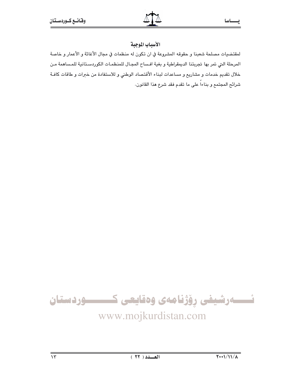صاسا

# الأسباب الموجبة

لمقتضيات مصلحة شعبنا و حقوقه المشروعة في ان تكون له منظمات في مجال الأغاثة و الأعمار و خاصة المرحلة التي تمر بها تجربتنا الديمقراطية و بغية افساح المجال للمنظمات الكوردستانية للمساهمة من خلال تقديم خدمات و مشاريع و مساعدات لبناء الأقتصاد الوطني و للاستفادة من خبرات و طاقات كافـة شرائح المجتمع و بناءاً على ما تقدم فقد شرع هذا القانون.